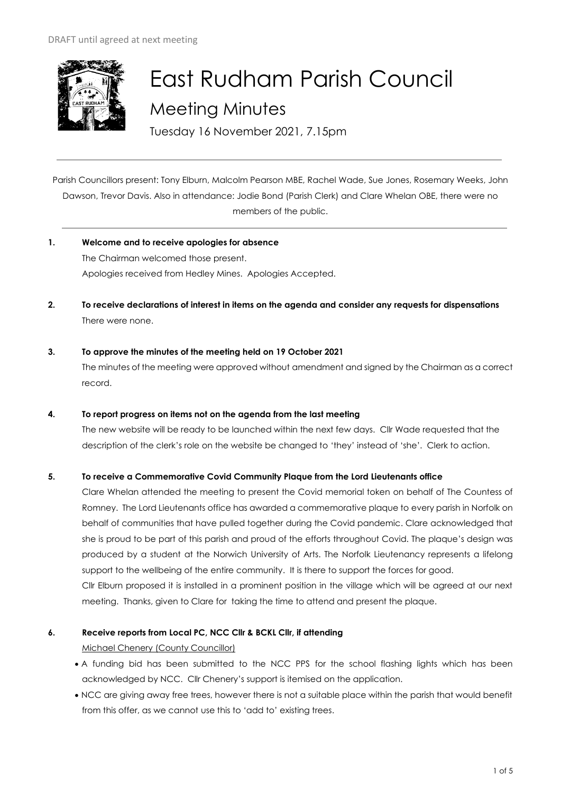

# East Rudham Parish Council Meeting Minutes

Tuesday 16 November 2021, 7.15pm

Parish Councillors present: Tony Elburn, Malcolm Pearson MBE, Rachel Wade, Sue Jones, Rosemary Weeks, John Dawson, Trevor Davis. Also in attendance: Jodie Bond (Parish Clerk) and Clare Whelan OBE, there were no members of the public.

- **1. Welcome and to receive apologies for absence** The Chairman welcomed those present. Apologies received from Hedley Mines. Apologies Accepted.
- **2. To receive declarations of interest in items on the agenda and consider any requests for dispensations**  There were none.
- **3. To approve the minutes of the meeting held on 19 October 2021**  The minutes of the meeting were approved without amendment and signed by the Chairman as a correct record.
- **4. To report progress on items not on the agenda from the last meeting**

The new website will be ready to be launched within the next few days. Cllr Wade requested that the description of the clerk's role on the website be changed to 'they' instead of 'she'. Clerk to action.

# **5. To receive a Commemorative Covid Community Plaque from the Lord Lieutenants office**

Clare Whelan attended the meeting to present the Covid memorial token on behalf of The Countess of Romney. The Lord Lieutenants office has awarded a commemorative plaque to every parish in Norfolk on behalf of communities that have pulled together during the Covid pandemic. Clare acknowledged that she is proud to be part of this parish and proud of the efforts throughout Covid. The plaque's design was produced by a student at the Norwich University of Arts. The Norfolk Lieutenancy represents a lifelong support to the wellbeing of the entire community. It is there to support the forces for good. Cllr Elburn proposed it is installed in a prominent position in the village which will be agreed at our next meeting. Thanks, given to Clare for taking the time to attend and present the plaque.

# **6. Receive reports from Local PC, NCC Cllr & BCKL Cllr, if attending**

Michael Chenery (County Councillor)

- A funding bid has been submitted to the NCC PPS for the school flashing lights which has been acknowledged by NCC. Cllr Chenery's support is itemised on the application.
- NCC are giving away free trees, however there is not a suitable place within the parish that would benefit from this offer, as we cannot use this to 'add to' existing trees.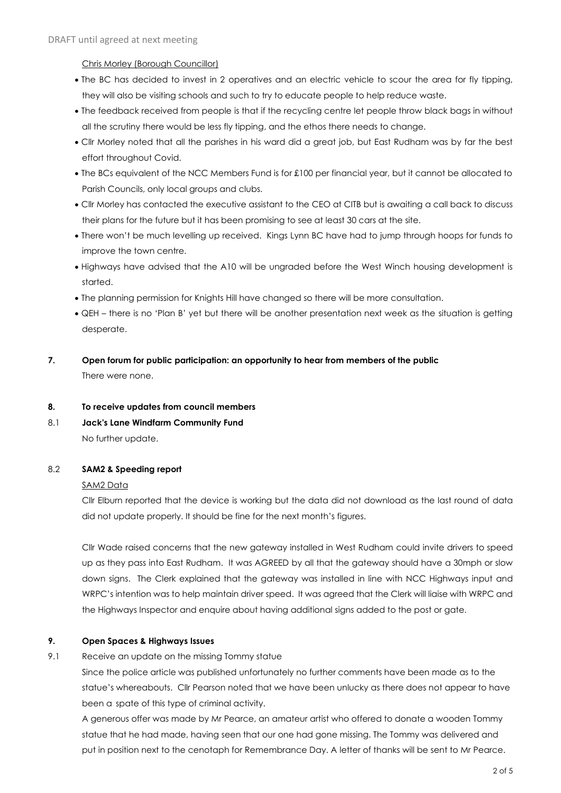Chris Morley (Borough Councillor)

- The BC has decided to invest in 2 operatives and an electric vehicle to scour the area for fly tipping, they will also be visiting schools and such to try to educate people to help reduce waste.
- The feedback received from people is that if the recycling centre let people throw black bags in without all the scrutiny there would be less fly tipping, and the ethos there needs to change.
- Cllr Morley noted that all the parishes in his ward did a great job, but East Rudham was by far the best effort throughout Covid.
- The BCs equivalent of the NCC Members Fund is for £100 per financial year, but it cannot be allocated to Parish Councils, only local groups and clubs.
- Cllr Morley has contacted the executive assistant to the CEO at CITB but is awaiting a call back to discuss their plans for the future but it has been promising to see at least 30 cars at the site.
- There won't be much levelling up received. Kings Lynn BC have had to jump through hoops for funds to improve the town centre.
- Highways have advised that the A10 will be ungraded before the West Winch housing development is started.
- The planning permission for Knights Hill have changed so there will be more consultation.
- QEH there is no 'Plan B' yet but there will be another presentation next week as the situation is getting desperate.
- **7. Open forum for public participation: an opportunity to hear from members of the public** There were none.
- **8. To receive updates from council members**
- 8.1 **Jack's Lane Windfarm Community Fund** No further update.

## 8.2 **SAM2 & Speeding report**

#### SAM2 Data

Cllr Elburn reported that the device is working but the data did not download as the last round of data did not update properly. It should be fine for the next month's figures.

Cllr Wade raised concerns that the new gateway installed in West Rudham could invite drivers to speed up as they pass into East Rudham. It was AGREED by all that the gateway should have a 30mph or slow down signs. The Clerk explained that the gateway was installed in line with NCC Highways input and WRPC's intention was to help maintain driver speed. It was agreed that the Clerk will liaise with WRPC and the Highways Inspector and enquire about having additional signs added to the post or gate.

#### **9. Open Spaces & Highways Issues**

9.1 Receive an update on the missing Tommy statue

Since the police article was published unfortunately no further comments have been made as to the statue's whereabouts. Cllr Pearson noted that we have been unlucky as there does not appear to have been a spate of this type of criminal activity.

A generous offer was made by Mr Pearce, an amateur artist who offered to donate a wooden Tommy statue that he had made, having seen that our one had gone missing. The Tommy was delivered and put in position next to the cenotaph for Remembrance Day. A letter of thanks will be sent to Mr Pearce.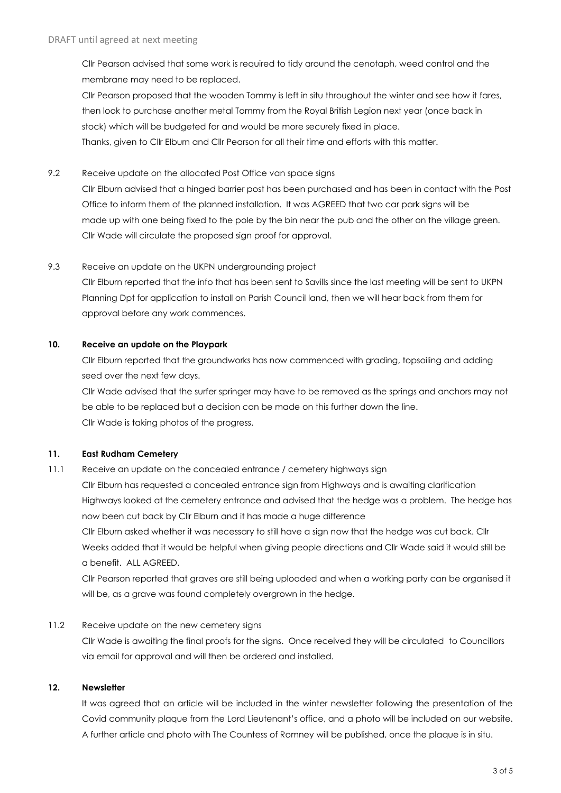Cllr Pearson advised that some work is required to tidy around the cenotaph, weed control and the membrane may need to be replaced.

Cllr Pearson proposed that the wooden Tommy is left in situ throughout the winter and see how it fares, then look to purchase another metal Tommy from the Royal British Legion next year (once back in stock) which will be budgeted for and would be more securely fixed in place.

Thanks, given to Cllr Elburn and Cllr Pearson for all their time and efforts with this matter.

## 9.2 Receive update on the allocated Post Office van space signs

Cllr Elburn advised that a hinged barrier post has been purchased and has been in contact with the Post Office to inform them of the planned installation. It was AGREED that two car park signs will be made up with one being fixed to the pole by the bin near the pub and the other on the village green. Cllr Wade will circulate the proposed sign proof for approval.

#### 9.3 Receive an update on the UKPN undergrounding project

Cllr Elburn reported that the info that has been sent to Savills since the last meeting will be sent to UKPN Planning Dpt for application to install on Parish Council land, then we will hear back from them for approval before any work commences.

## **10. Receive an update on the Playpark**

Cllr Elburn reported that the groundworks has now commenced with grading, topsoiling and adding seed over the next few days.

Cllr Wade advised that the surfer springer may have to be removed as the springs and anchors may not be able to be replaced but a decision can be made on this further down the line. Cllr Wade is taking photos of the progress.

#### **11. East Rudham Cemetery**

11.1 Receive an update on the concealed entrance / cemetery highways sign Cllr Elburn has requested a concealed entrance sign from Highways and is awaiting clarification Highways looked at the cemetery entrance and advised that the hedge was a problem. The hedge has now been cut back by Cllr Elburn and it has made a huge difference Cllr Elburn asked whether it was necessary to still have a sign now that the hedge was cut back. Cllr

Weeks added that it would be helpful when giving people directions and Cllr Wade said it would still be a benefit. ALL AGREED.

Cllr Pearson reported that graves are still being uploaded and when a working party can be organised it will be, as a grave was found completely overgrown in the hedge.

#### 11.2 Receive update on the new cemetery signs

Cllr Wade is awaiting the final proofs for the signs. Once received they will be circulated to Councillors via email for approval and will then be ordered and installed.

#### **12. Newsletter**

It was agreed that an article will be included in the winter newsletter following the presentation of the Covid community plaque from the Lord Lieutenant's office, and a photo will be included on our website. A further article and photo with The Countess of Romney will be published, once the plaque is in situ.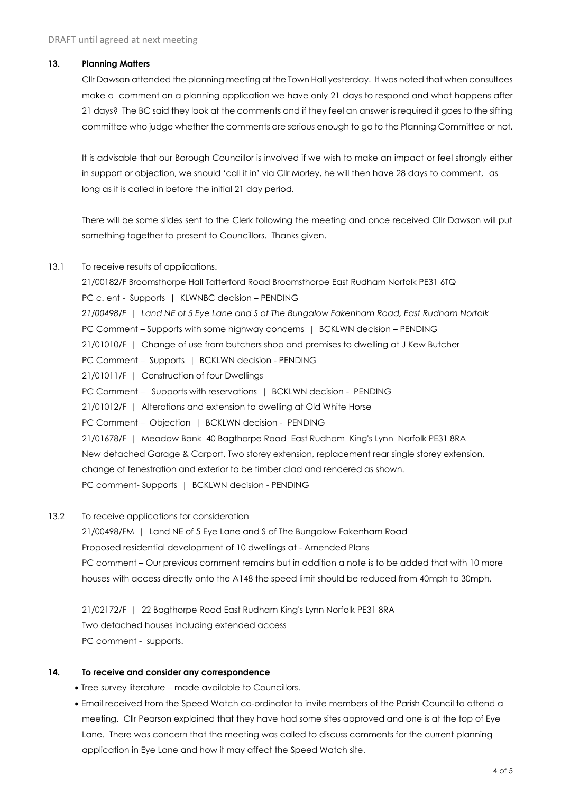#### **13. Planning Matters**

Cllr Dawson attended the planning meeting at the Town Hall yesterday. It was noted that when consultees make a comment on a planning application we have only 21 days to respond and what happens after 21 days? The BC said they look at the comments and if they feel an answer is required it goes to the sifting committee who judge whether the comments are serious enough to go to the Planning Committee or not.

It is advisable that our Borough Councillor is involved if we wish to make an impact or feel strongly either in support or objection, we should 'call it in' via Cllr Morley, he will then have 28 days to comment, as long as it is called in before the initial 21 day period.

There will be some slides sent to the Clerk following the meeting and once received Cllr Dawson will put something together to present to Councillors. Thanks given.

#### 13.1 To receive results of applications.

21/00182/F Broomsthorpe Hall Tatterford Road Broomsthorpe East Rudham Norfolk PE31 6TQ PC c. ent - Supports | KLWNBC decision – PENDING *21/00498/F | Land NE of 5 Eye Lane and S of The Bungalow Fakenham Road, East Rudham Norfolk* PC Comment – Supports with some highway concerns | BCKLWN decision – PENDING 21/01010/F | Change of use from butchers shop and premises to dwelling at J Kew Butcher PC Comment - Supports | BCKLWN decision - PENDING 21/01011/F | Construction of four Dwellings PC Comment - Supports with reservations | BCKLWN decision - PENDING 21/01012/F | Alterations and extension to dwelling at Old White Horse PC Comment - Objection | BCKLWN decision - PENDING 21/01678/F | Meadow Bank 40 Bagthorpe Road East Rudham King's Lynn Norfolk PE31 8RA New detached Garage & Carport, Two storey extension, replacement rear single storey extension, change of fenestration and exterior to be timber clad and rendered as shown. PC comment- Supports | BCKLWN decision - PENDING

#### 13.2 To receive applications for consideration

21/00498/FM | Land NE of 5 Eye Lane and S of The Bungalow Fakenham Road Proposed residential development of 10 dwellings at - Amended Plans PC comment – Our previous comment remains but in addition a note is to be added that with 10 more houses with access directly onto the A148 the speed limit should be reduced from 40mph to 30mph.

21/02172/F | 22 Bagthorpe Road East Rudham King's Lynn Norfolk PE31 8RA Two detached houses including extended access PC comment - supports.

#### **14. To receive and consider any correspondence**

• Tree survey literature – made available to Councillors.

• Email received from the Speed Watch co-ordinator to invite members of the Parish Council to attend a meeting. Cllr Pearson explained that they have had some sites approved and one is at the top of Eye Lane. There was concern that the meeting was called to discuss comments for the current planning application in Eye Lane and how it may affect the Speed Watch site.